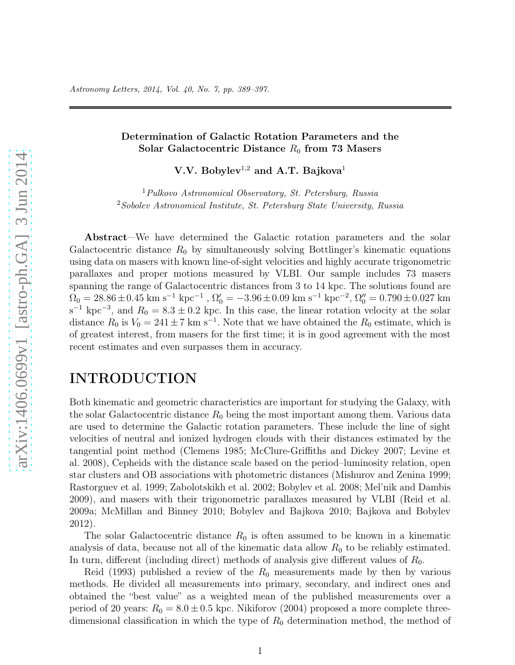#### Determination of Galactic Rotation Parameters and the Solar Galactocentric Distance  $R_0$  from 73 Masers

V.V. Bobylev<sup>1,2</sup> and A.T. Bajkova<sup>1</sup>

<sup>1</sup>Pulkovo Astronomical Observatory, St. Petersburg, Russia <sup>2</sup>Sobolev Astronomical Institute, St. Petersburg State University, Russia

Abstract—We have determined the Galactic rotation parameters and the solar Galactocentric distance  $R_0$  by simultaneously solving Bottlinger's kinematic equations using data on masers with known line-of-sight velocities and highly accurate trigonometric parallaxes and proper motions measured by VLBI. Our sample includes 73 masers spanning the range of Galactocentric distances from 3 to 14 kpc. The solutions found are  $\Omega_0 = 28.86 \pm 0.45$  km s<sup>-1</sup> kpc<sup>-1</sup>,  $\Omega'_0 = -3.96 \pm 0.09$  km s<sup>-1</sup> kpc<sup>-2</sup>,  $\Omega''_0 = 0.790 \pm 0.027$  km  $s^{-1}$  kpc<sup>-3</sup>, and  $R_0 = 8.3 \pm 0.2$  kpc. In this case, the linear rotation velocity at the solar distance  $R_0$  is  $V_0 = 241 \pm 7$  km s<sup>-1</sup>. Note that we have obtained the  $R_0$  estimate, which is of greatest interest, from masers for the first time; it is in good agreement with the most recent estimates and even surpasses them in accuracy.

# INTRODUCTION

Both kinematic and geometric characteristics are important for studying the Galaxy, with the solar Galactocentric distance  $R_0$  being the most important among them. Various data are used to determine the Galactic rotation parameters. These include the line of sight velocities of neutral and ionized hydrogen clouds with their distances estimated by the tangential point method (Clemens 1985; McClure-Griffiths and Dickey 2007; Levine et al. 2008), Cepheids with the distance scale based on the period–luminosity relation, open star clusters and OB associations with photometric distances (Mishurov and Zenina 1999; Rastorguev et al. 1999; Zabolotskikh et al. 2002; Bobylev et al. 2008; Mel'nik and Dambis 2009), and masers with their trigonometric parallaxes measured by VLBI (Reid et al. 2009a; McMillan and Binney 2010; Bobylev and Bajkova 2010; Bajkova and Bobylev 2012).

The solar Galactocentric distance  $R_0$  is often assumed to be known in a kinematic analysis of data, because not all of the kinematic data allow  $R_0$  to be reliably estimated. In turn, different (including direct) methods of analysis give different values of  $R_0$ .

Reid (1993) published a review of the  $R_0$  measurements made by then by various methods. He divided all measurements into primary, secondary, and indirect ones and obtained the "best value" as a weighted mean of the published measurements over a period of 20 years:  $R_0 = 8.0 \pm 0.5$  kpc. Nikiforov (2004) proposed a more complete threedimensional classification in which the type of  $R_0$  determination method, the method of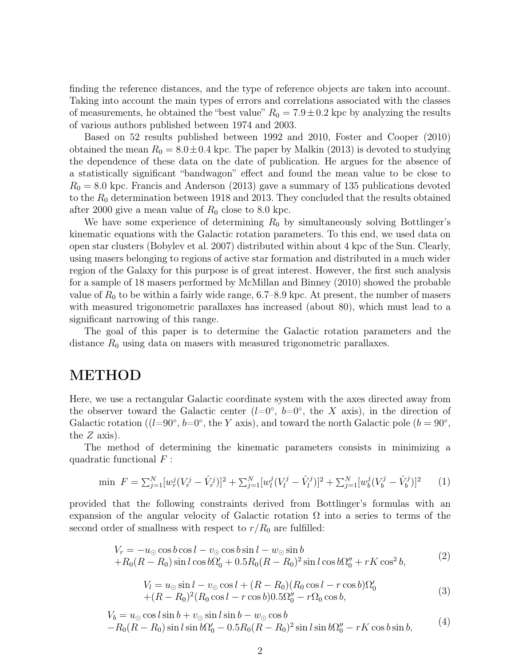finding the reference distances, and the type of reference objects are taken into account. Taking into account the main types of errors and correlations associated with the classes of measurements, he obtained the "best value"  $R_0 = 7.9 \pm 0.2$  kpc by analyzing the results of various authors published between 1974 and 2003.

Based on 52 results published between 1992 and 2010, Foster and Cooper (2010) obtained the mean  $R_0 = 8.0 \pm 0.4$  kpc. The paper by Malkin (2013) is devoted to studying the dependence of these data on the date of publication. He argues for the absence of a statistically significant "bandwagon" effect and found the mean value to be close to  $R_0 = 8.0$  kpc. Francis and Anderson (2013) gave a summary of 135 publications devoted to the  $R_0$  determination between 1918 and 2013. They concluded that the results obtained after 2000 give a mean value of  $R_0$  close to 8.0 kpc.

We have some experience of determining  $R_0$  by simultaneously solving Bottlinger's kinematic equations with the Galactic rotation parameters. To this end, we used data on open star clusters (Bobylev et al. 2007) distributed within about 4 kpc of the Sun. Clearly, using masers belonging to regions of active star formation and distributed in a much wider region of the Galaxy for this purpose is of great interest. However, the first such analysis for a sample of 18 masers performed by McMillan and Binney (2010) showed the probable value of  $R_0$  to be within a fairly wide range, 6.7–8.9 kpc. At present, the number of masers with measured trigonometric parallaxes has increased (about 80), which must lead to a significant narrowing of this range.

The goal of this paper is to determine the Galactic rotation parameters and the distance  $R_0$  using data on masers with measured trigonometric parallaxes.

### METHOD

Here, we use a rectangular Galactic coordinate system with the axes directed away from the observer toward the Galactic center  $(l=0^{\circ}, b=0^{\circ}, \text{ the } X \text{ axis}),$  in the direction of Galactic rotation (( $l=90^\circ$ ,  $b=0^\circ$ , the Y axis), and toward the north Galactic pole ( $b=90^\circ$ , the  $Z$  axis).

The method of determining the kinematic parameters consists in minimizing a quadratic functional  $F$ :

$$
\min \ F = \sum_{j=1}^{N} [w_r^j (V_r^j - \hat{V}_r^j)]^2 + \sum_{j=1}^{N} [w_l^j (V_l^j - \hat{V}_l^j)]^2 + \sum_{j=1}^{N} [w_b^j (V_b^j - \hat{V}_b^j)]^2 \tag{1}
$$

provided that the following constraints derived from Bottlinger's formulas with an expansion of the angular velocity of Galactic rotation  $\Omega$  into a series to terms of the second order of smallness with respect to  $r/R_0$  are fulfilled:

$$
V_r = -u_{\odot} \cos b \cos l - v_{\odot} \cos b \sin l - w_{\odot} \sin b + R_0 (R - R_0) \sin l \cos b \Omega_0' + 0.5 R_0 (R - R_0)^2 \sin l \cos b \Omega_0'' + rK \cos^2 b,
$$
 (2)

$$
V_l = u_{\odot} \sin l - v_{\odot} \cos l + (R - R_0)(R_0 \cos l - r \cos l) \Omega_0'
$$
  
 
$$
+ (R - R_0)^2 (R_0 \cos l - r \cos l) 0.5 \Omega_0'' - r \Omega_0 \cos l,
$$
 (3)

$$
V_b = u_\odot \cos l \sin b + v_\odot \sin l \sin b - w_\odot \cos b -R_0(R - R_0) \sin l \sin b\Omega_0' - 0.5R_0(R - R_0)^2 \sin l \sin b\Omega_0'' - rK \cos b \sin b,
$$
 (4)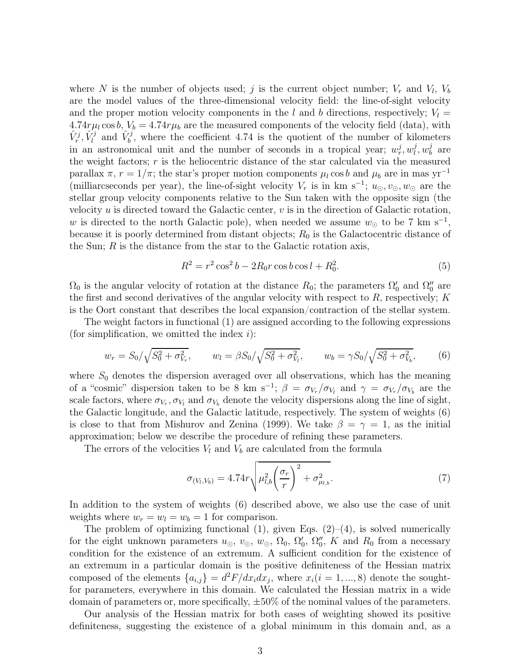where N is the number of objects used; j is the current object number;  $V_r$  and  $V_l$ ,  $V_b$ are the model values of the three-dimensional velocity field: the line-of-sight velocity and the proper motion velocity components in the l and b directions, respectively;  $V_l =$  $4.74r\mu_l\cos b$ ,  $V_b = 4.74r\mu_b$  are the measured components of the velocity field (data), with  $\hat{V}_r^j$ ,  $\hat{V}_l^j$  and  $\hat{V}_b^j$ , where the coefficient 4.74 is the quotient of the number of kilometers in an astronomical unit and the number of seconds in a tropical year;  $w_r^j, w_l^j$  $\frac{j}{l}, w_b^j$  $_b^j$  are the weight factors;  $r$  is the heliocentric distance of the star calculated via the measured parallax  $\pi$ ,  $r = 1/\pi$ ; the star's proper motion components  $\mu_l \cos b$  and  $\mu_b$  are in mas yr<sup>-1</sup> (milliarcseconds per year), the line-of-sight velocity  $V_r$  is in km s<sup>-1</sup>;  $u_{\odot}, v_{\odot}, w_{\odot}$  are the stellar group velocity components relative to the Sun taken with the opposite sign (the velocity  $u$  is directed toward the Galactic center,  $v$  is in the direction of Galactic rotation, w is directed to the north Galactic pole), when needed we assume  $w_{\odot}$  to be 7 km s<sup>-1</sup>, because it is poorly determined from distant objects;  $R_0$  is the Galactocentric distance of the Sun;  $R$  is the distance from the star to the Galactic rotation axis,

$$
R^2 = r^2 \cos^2 b - 2R_0 r \cos b \cos l + R_0^2. \tag{5}
$$

 $\Omega_0$  is the angular velocity of rotation at the distance  $R_0$ ; the parameters  $\Omega_0'$  $'_{0}$  and  $\Omega''_{0}$  $_0''$  are the first and second derivatives of the angular velocity with respect to  $R$ , respectively;  $K$ is the Oort constant that describes the local expansion/contraction of the stellar system.

The weight factors in functional (1) are assigned according to the following expressions (for simplification, we omitted the index  $i$ ):

$$
w_r = S_0 / \sqrt{S_0^2 + \sigma_{V_r}^2}, \qquad w_l = \beta S_0 / \sqrt{S_0^2 + \sigma_{V_l}^2}, \qquad w_b = \gamma S_0 / \sqrt{S_0^2 + \sigma_{V_b}^2}, \tag{6}
$$

where  $S_0$  denotes the dispersion averaged over all observations, which has the meaning of a "cosmic" dispersion taken to be 8 km s<sup>-1</sup>;  $\beta = \sigma_{V_r}/\sigma_{V_l}$  and  $\gamma = \sigma_{V_r}/\sigma_{V_b}$  are the scale factors, where  $\sigma_{V_r}, \sigma_{V_l}$  and  $\sigma_{V_b}$  denote the velocity dispersions along the line of sight, the Galactic longitude, and the Galactic latitude, respectively. The system of weights (6) is close to that from Mishurov and Zenina (1999). We take  $\beta = \gamma = 1$ , as the initial approximation; below we describe the procedure of refining these parameters.

The errors of the velocities  $V_l$  and  $V_b$  are calculated from the formula

$$
\sigma_{(V_l, V_b)} = 4.74r \sqrt{\mu_{l,b}^2 \left(\frac{\sigma_r}{r}\right)^2 + \sigma_{\mu_{l,b}}^2}.
$$
\n(7)

In addition to the system of weights (6) described above, we also use the case of unit weights where  $w_r = w_l = w_b = 1$  for comparison.

The problem of optimizing functional  $(1)$ , given Eqs.  $(2)-(4)$ , is solved numerically for the eight unknown parameters  $u_{\odot}, v_{\odot}, w_{\odot}, \Omega_0, \Omega_0'$  $'_{0}, \Omega''_{0}$  $_0''$ , K and  $R_0$  from a necessary condition for the existence of an extremum. A sufficient condition for the existence of an extremum in a particular domain is the positive definiteness of the Hessian matrix composed of the elements  ${a_{i,j}} = d^2F/dx_i dx_j$ , where  $x_i(i = 1, ..., 8)$  denote the soughtfor parameters, everywhere in this domain. We calculated the Hessian matrix in a wide domain of parameters or, more specifically,  $\pm 50\%$  of the nominal values of the parameters.

Our analysis of the Hessian matrix for both cases of weighting showed its positive definiteness, suggesting the existence of a global minimum in this domain and, as a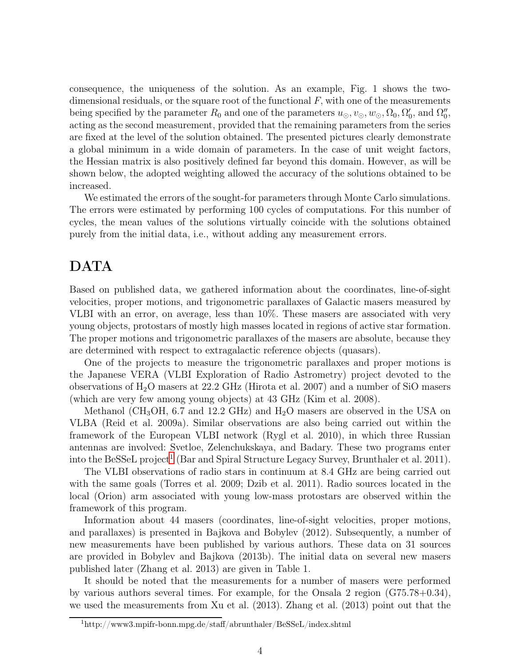consequence, the uniqueness of the solution. As an example, Fig. 1 shows the twodimensional residuals, or the square root of the functional  $F$ , with one of the measurements being specified by the parameter  $R_0$  and one of the parameters  $u_{\odot}, v_{\odot}, w_{\odot}, \Omega_0, \Omega_0'$  $'_{0}$ , and  $\Omega''_{0}$  $_{0}^{\prime\prime},$ acting as the second measurement, provided that the remaining parameters from the series are fixed at the level of the solution obtained. The presented pictures clearly demonstrate a global minimum in a wide domain of parameters. In the case of unit weight factors, the Hessian matrix is also positively defined far beyond this domain. However, as will be shown below, the adopted weighting allowed the accuracy of the solutions obtained to be increased.

We estimated the errors of the sought-for parameters through Monte Carlo simulations. The errors were estimated by performing 100 cycles of computations. For this number of cycles, the mean values of the solutions virtually coincide with the solutions obtained purely from the initial data, i.e., without adding any measurement errors.

# DATA

Based on published data, we gathered information about the coordinates, line-of-sight velocities, proper motions, and trigonometric parallaxes of Galactic masers measured by VLBI with an error, on average, less than 10%. These masers are associated with very young objects, protostars of mostly high masses located in regions of active star formation. The proper motions and trigonometric parallaxes of the masers are absolute, because they are determined with respect to extragalactic reference objects (quasars).

One of the projects to measure the trigonometric parallaxes and proper motions is the Japanese VERA (VLBI Exploration of Radio Astrometry) project devoted to the observations of  $H_2O$  masers at 22.2 GHz (Hirota et al. 2007) and a number of SiO masers (which are very few among young objects) at 43 GHz (Kim et al. 2008).

Methanol (CH<sub>3</sub>OH, 6.7 and 12.2 GHz) and  $H_2O$  masers are observed in the USA on VLBA (Reid et al. 2009a). Similar observations are also being carried out within the framework of the European VLBI network (Rygl et al. 2010), in which three Russian antennas are involved: Svetloe, Zelenchukskaya, and Badary. These two programs enter into the BeSSeL project<sup>[1](#page-3-0)</sup> (Bar and Spiral Structure Legacy Survey, Brunthaler et al. 2011).

The VLBI observations of radio stars in continuum at 8.4 GHz are being carried out with the same goals (Torres et al. 2009; Dzib et al. 2011). Radio sources located in the local (Orion) arm associated with young low-mass protostars are observed within the framework of this program.

Information about 44 masers (coordinates, line-of-sight velocities, proper motions, and parallaxes) is presented in Bajkova and Bobylev (2012). Subsequently, a number of new measurements have been published by various authors. These data on 31 sources are provided in Bobylev and Bajkova (2013b). The initial data on several new masers published later (Zhang et al. 2013) are given in Table 1.

It should be noted that the measurements for a number of masers were performed by various authors several times. For example, for the Onsala 2 region (G75.78+0.34), we used the measurements from Xu et al. (2013). Zhang et al. (2013) point out that the

<span id="page-3-0"></span><sup>1</sup>http://www3.mpifr-bonn.mpg.de/staff/abrunthaler/BeSSeL/index.shtml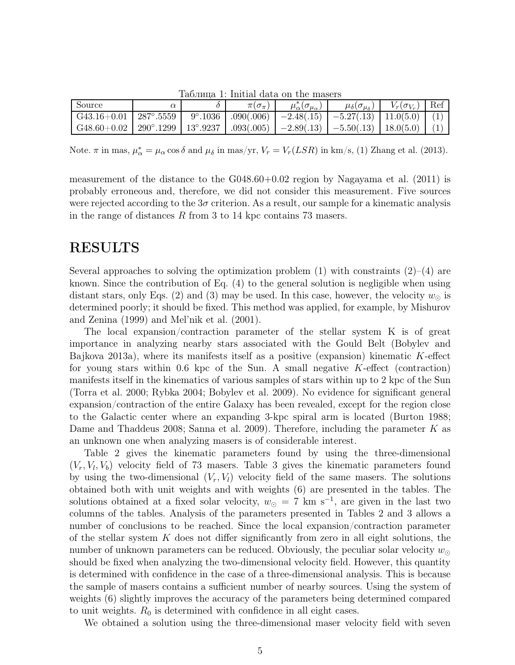| таолица т. ппоют ааса он спо пюсост                                                                                     |  |  |                     |                                         |                                                                               |                         |  |  |  |
|-------------------------------------------------------------------------------------------------------------------------|--|--|---------------------|-----------------------------------------|-------------------------------------------------------------------------------|-------------------------|--|--|--|
| Source                                                                                                                  |  |  | $\pi(\sigma_{\pi})$ | $\mu_{\alpha}^*(\sigma_{\mu_{\alpha}})$ | $\mu_{\delta}(\sigma_{\mu_{\delta}})$                                         | $V_r(\sigma_{V_r})$ Ref |  |  |  |
| G43.16+0.01   287°.5559                                                                                                 |  |  |                     |                                         | $9^{\circ}.1036$   .090(.006)   $-2.48(.15)$   $-5.27(.13)$   11.0(5.0)   (1) |                         |  |  |  |
| $G48.60+0.02$   $290^{\circ}.1299$   $13^{\circ}.9237$   $.093(.005)$   $-2.89(.13)$   $-5.50(.13)$   $18.0(5.0)$   (1) |  |  |                     |                                         |                                                                               |                         |  |  |  |

Таблица 1: Initial data on the masers

Note.  $\pi$  in mas,  $\mu_{\alpha}^* = \mu_{\alpha} \cos \delta$  and  $\mu_{\delta}$  in mas/yr,  $V_r = V_r(LSR)$  in km/s, (1) Zhang et al. (2013).

measurement of the distance to the G048.60+0.02 region by Nagayama et al. (2011) is probably erroneous and, therefore, we did not consider this measurement. Five sources were rejected according to the  $3\sigma$  criterion. As a result, our sample for a kinematic analysis in the range of distances R from 3 to 14 kpc contains 73 masers.

### RESULTS

Several approaches to solving the optimization problem  $(1)$  with constraints  $(2)-(4)$  are known. Since the contribution of Eq. (4) to the general solution is negligible when using distant stars, only Eqs. (2) and (3) may be used. In this case, however, the velocity  $w_{\odot}$  is determined poorly; it should be fixed. This method was applied, for example, by Mishurov and Zenina (1999) and Mel'nik et al. (2001).

The local expansion/contraction parameter of the stellar system K is of great importance in analyzing nearby stars associated with the Gould Belt (Bobylev and Bajkova 2013a), where its manifests itself as a positive (expansion) kinematic  $K$ -effect for young stars within 0.6 kpc of the Sun. A small negative  $K$ -effect (contraction) manifests itself in the kinematics of various samples of stars within up to 2 kpc of the Sun (Torra et al. 2000; Rybka 2004; Bobylev et al. 2009). No evidence for significant general expansion/contraction of the entire Galaxy has been revealed, except for the region close to the Galactic center where an expanding 3-kpc spiral arm is located (Burton 1988; Dame and Thaddeus 2008; Sanna et al. 2009). Therefore, including the parameter K as an unknown one when analyzing masers is of considerable interest.

Table 2 gives the kinematic parameters found by using the three-dimensional  $(V_r, V_l, V_b)$  velocity field of 73 masers. Table 3 gives the kinematic parameters found by using the two-dimensional  $(V_r, V_l)$  velocity field of the same masers. The solutions obtained both with unit weights and with weights (6) are presented in the tables. The solutions obtained at a fixed solar velocity,  $w_{\odot} = 7 \text{ km s}^{-1}$ , are given in the last two columns of the tables. Analysis of the parameters presented in Tables 2 and 3 allows a number of conclusions to be reached. Since the local expansion/contraction parameter of the stellar system  $K$  does not differ significantly from zero in all eight solutions, the number of unknown parameters can be reduced. Obviously, the peculiar solar velocity  $w_{\odot}$ should be fixed when analyzing the two-dimensional velocity field. However, this quantity is determined with confidence in the case of a three-dimensional analysis. This is because the sample of masers contains a sufficient number of nearby sources. Using the system of weights (6) slightly improves the accuracy of the parameters being determined compared to unit weights.  $R_0$  is determined with confidence in all eight cases.

We obtained a solution using the three-dimensional maser velocity field with seven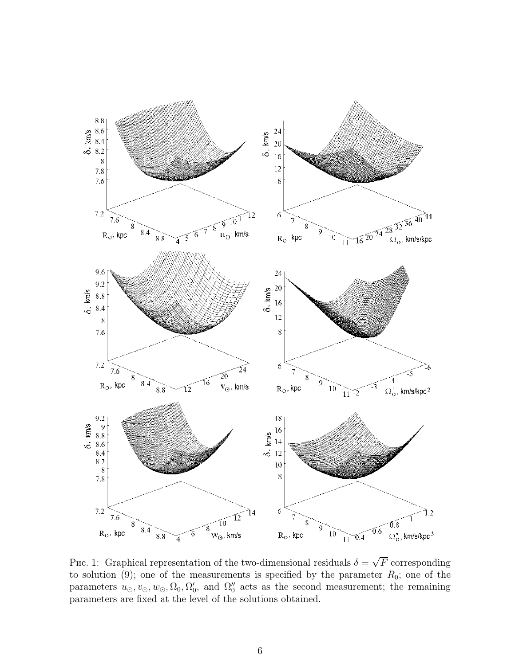

Puc. 1: Graphical representation of the two-dimensional residuals  $\delta = \sqrt{F}$  corresponding to solution (9); one of the measurements is specified by the parameter  $R_0$ ; one of the parameters  $u_{\odot}, v_{\odot}, w_{\odot}, \Omega_0, \Omega_0'$  $'_{0}$ , and  $\Omega''_{0}$  $\frac{0}{0}$  acts as the second measurement; the remaining parameters are fixed at the level of the solutions obtained.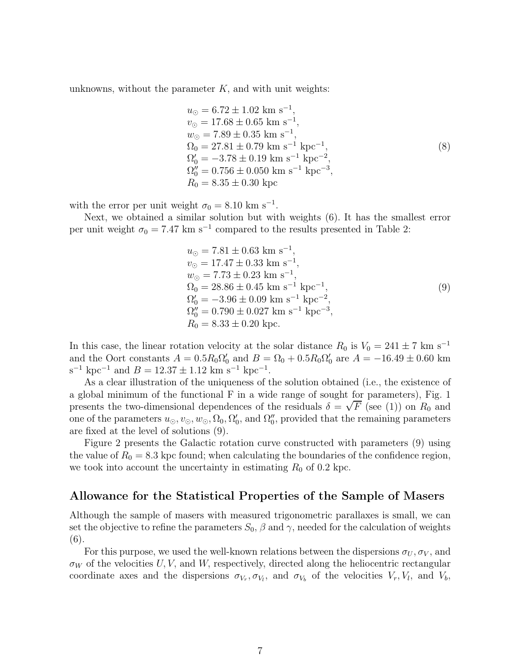unknowns, without the parameter  $K$ , and with unit weights:

$$
u_{\odot} = 6.72 \pm 1.02 \text{ km s}^{-1},
$$
  
\n
$$
v_{\odot} = 17.68 \pm 0.65 \text{ km s}^{-1},
$$
  
\n
$$
w_{\odot} = 7.89 \pm 0.35 \text{ km s}^{-1},
$$
  
\n
$$
\Omega_0 = 27.81 \pm 0.79 \text{ km s}^{-1} \text{ kpc}^{-1},
$$
  
\n
$$
\Omega'_0 = -3.78 \pm 0.19 \text{ km s}^{-1} \text{ kpc}^{-2},
$$
  
\n
$$
\Omega''_0 = 0.756 \pm 0.050 \text{ km s}^{-1} \text{ kpc}^{-3},
$$
  
\n
$$
R_0 = 8.35 \pm 0.30 \text{ kpc}
$$
 (8)

with the error per unit weight  $\sigma_0 = 8.10 \text{ km s}^{-1}$ .

Next, we obtained a similar solution but with weights (6). It has the smallest error per unit weight  $\sigma_0 = 7.47 \text{ km s}^{-1}$  compared to the results presented in Table 2:

$$
u_{\odot} = 7.81 \pm 0.63 \text{ km s}^{-1},
$$
  
\n
$$
v_{\odot} = 17.47 \pm 0.33 \text{ km s}^{-1},
$$
  
\n
$$
w_{\odot} = 7.73 \pm 0.23 \text{ km s}^{-1},
$$
  
\n
$$
\Omega_0 = 28.86 \pm 0.45 \text{ km s}^{-1} \text{ kpc}^{-1},
$$
  
\n
$$
\Omega'_0 = -3.96 \pm 0.09 \text{ km s}^{-1} \text{ kpc}^{-2},
$$
  
\n
$$
\Omega''_0 = 0.790 \pm 0.027 \text{ km s}^{-1} \text{ kpc}^{-3},
$$
  
\n
$$
R_0 = 8.33 \pm 0.20 \text{ kpc}.
$$
  
\n(9)

In this case, the linear rotation velocity at the solar distance  $R_0$  is  $V_0 = 241 \pm 7$  km s<sup>-1</sup> and the Oort constants  $A = 0.5R_0\Omega'_0$  and  $B = \Omega_0 + 0.5R_0\Omega'_0$  are  $A = -16.49 \pm 0.60$  km  $s^{-1}$  kpc<sup>-1</sup> and  $B = 12.37 \pm 1.12$  km  $s^{-1}$  kpc<sup>-1</sup>.

As a clear illustration of the uniqueness of the solution obtained (i.e., the existence of a global minimum of the functional F in a wide range of sought for parameters), Fig. 1 presents the two-dimensional dependences of the residuals  $\delta = \sqrt{F}$  (see (1)) on  $R_0$  and one of the parameters  $u_{\odot}, v_{\odot}, w_{\odot}, \Omega_0, \Omega_0'$  $'_{0}$ , and  $\Omega''_{0}$ 0 , provided that the remaining parameters are fixed at the level of solutions (9).

Figure 2 presents the Galactic rotation curve constructed with parameters (9) using the value of  $R_0 = 8.3$  kpc found; when calculating the boundaries of the confidence region, we took into account the uncertainty in estimating  $R_0$  of 0.2 kpc.

#### Allowance for the Statistical Properties of the Sample of Masers

Although the sample of masers with measured trigonometric parallaxes is small, we can set the objective to refine the parameters  $S_0$ ,  $\beta$  and  $\gamma$ , needed for the calculation of weights (6).

For this purpose, we used the well-known relations between the dispersions  $\sigma_U, \sigma_V$ , and  $\sigma_W$  of the velocities U, V, and W, respectively, directed along the heliocentric rectangular coordinate axes and the dispersions  $\sigma_{V_r}, \sigma_{V_l}$ , and  $\sigma_{V_b}$  of the velocities  $V_r, V_l$ , and  $V_b$ ,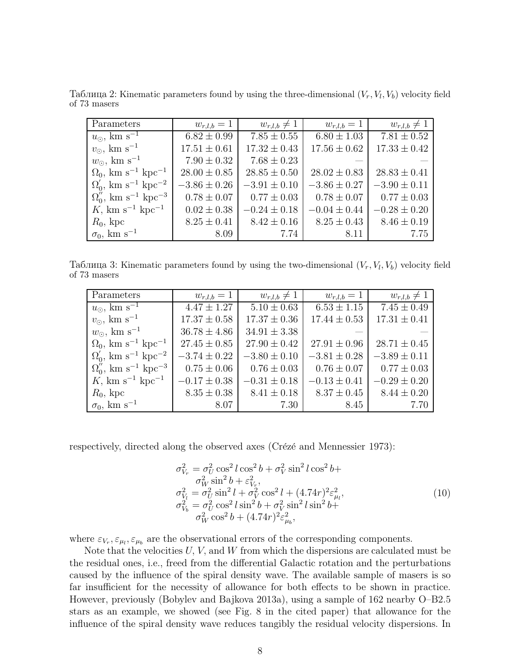Таблица 2: Kinematic parameters found by using the three-dimensional  $(V_r, V_l, V_b)$  velocity field of 73 masers

| Parameters                                          | $w_{r,l,b} = 1$  | $w_{r,l,b}\neq 1$ | $w_{r,l,b} = 1$  | $w_{r,l,b}\neq 1$ |
|-----------------------------------------------------|------------------|-------------------|------------------|-------------------|
| $u_{\odot}$ , km s <sup>-1</sup>                    | $6.82 \pm 0.99$  | $7.85 \pm 0.55$   | $6.80 \pm 1.03$  | $7.81 \pm 0.52$   |
| $v_{\odot}$ , km s <sup>-1</sup>                    | $17.51 \pm 0.61$ | $17.32 \pm 0.43$  | $17.56 \pm 0.62$ | $17.33 \pm 0.42$  |
| $w_{\odot}$ , km s <sup>-1</sup>                    | $7.90 \pm 0.32$  | $7.68 \pm 0.23$   |                  |                   |
| $\Omega_0$ , km s <sup>-1</sup> kpc <sup>-1</sup>   | $28.00 \pm 0.85$ | $28.85 \pm 0.50$  | $28.02 \pm 0.83$ | $28.83 \pm 0.41$  |
| $\Omega_0'$ , km s <sup>-1</sup> kpc <sup>-2</sup>  | $-3.86 \pm 0.26$ | $-3.91 \pm 0.10$  | $-3.86 \pm 0.27$ | $-3.90 \pm 0.11$  |
| $\Omega_0''$ , km s <sup>-1</sup> kpc <sup>-3</sup> | $0.78 \pm 0.07$  | $0.77 \pm 0.03$   | $0.78 \pm 0.07$  | $0.77 \pm 0.03$   |
| K, km s <sup>-1</sup> kpc <sup>-1</sup>             | $0.02 \pm 0.38$  | $-0.24 \pm 0.18$  | $-0.04 \pm 0.44$ | $-0.28 \pm 0.20$  |
| $R_0$ , kpc                                         | $8.25 \pm 0.41$  | $8.42 \pm 0.16$   | $8.25 \pm 0.43$  | $8.46 \pm 0.19$   |
| $\sigma_0$ , km s <sup>-1</sup>                     | 8.09             | 7.74              | 8.11             | 7.75              |

Таблица 3: Kinematic parameters found by using the two-dimensional  $(V_r, V_l, V_b)$  velocity field of 73 masers

| Parameters                                          | $w_{r,l,b} = 1$  | $w_{r,l,b}\neq 1$ | $w_{r,l,b} = 1$  | $w_{r,l,b}\neq 1$ |
|-----------------------------------------------------|------------------|-------------------|------------------|-------------------|
| $u_{\odot}$ , km s <sup>-1</sup>                    | $4.47 \pm 1.27$  | $5.10 \pm 0.63$   | $6.53 \pm 1.15$  | $7.45 \pm 0.49$   |
| $v_{\odot}$ , km s <sup>-1</sup>                    | $17.37 \pm 0.58$ | $17.37 \pm 0.36$  | $17.44 \pm 0.53$ | $17.31 \pm 0.41$  |
| $w_{\odot}$ , km s <sup>-1</sup>                    | $36.78 \pm 4.86$ | $34.91 \pm 3.38$  |                  |                   |
| $\Omega_0$ , km s <sup>-1</sup> kpc <sup>-1</sup>   | $27.45 \pm 0.85$ | $27.90 \pm 0.42$  | $27.91 \pm 0.96$ | $28.71 \pm 0.45$  |
| $\Omega_0'$ , km s <sup>-1</sup> kpc <sup>-2</sup>  | $-3.74 \pm 0.22$ | $-3.80 \pm 0.10$  | $-3.81 \pm 0.28$ | $-3.89 \pm 0.11$  |
| $\Omega_0''$ , km s <sup>-1</sup> kpc <sup>-3</sup> | $0.75 \pm 0.06$  | $0.76 \pm 0.03$   | $0.76 \pm 0.07$  | $0.77 \pm 0.03$   |
| K, km s <sup>-1</sup> kpc <sup>-1</sup>             | $-0.17 \pm 0.38$ | $-0.31 \pm 0.18$  | $-0.13 \pm 0.41$ | $-0.29 \pm 0.20$  |
| $R_0$ , kpc                                         | $8.35 \pm 0.38$  | $8.41 \pm 0.18$   | $8.37 \pm 0.45$  | $8.44 \pm 0.20$   |
| $\sigma_0$ , km s <sup>-1</sup>                     | 8.07             | 7.30              | 8.45             | 7.70              |

respectively, directed along the observed axes (Crézé and Mennessier 1973):

$$
\sigma_{V_r}^2 = \sigma_U^2 \cos^2 l \cos^2 b + \sigma_V^2 \sin^2 l \cos^2 b + \sigma_W^2 \sin^2 b + \varepsilon_{V_r}^2, \n\sigma_{V_l}^2 = \sigma_U^2 \sin^2 l + \sigma_V^2 \cos^2 l + (4.74r)^2 \varepsilon_{\mu_l}^2, \n\sigma_{V_b}^2 = \sigma_U^2 \cos^2 l \sin^2 b + \sigma_V^2 \sin^2 l \sin^2 b + \n\sigma_W^2 \cos^2 b + (4.74r)^2 \varepsilon_{\mu_b}^2,
$$
\n(10)

where  $\varepsilon_{V_r}, \varepsilon_{\mu_l}, \varepsilon_{\mu_b}$  are the observational errors of the corresponding components.

Note that the velocities  $U, V$ , and  $W$  from which the dispersions are calculated must be the residual ones, i.e., freed from the differential Galactic rotation and the perturbations caused by the influence of the spiral density wave. The available sample of masers is so far insufficient for the necessity of allowance for both effects to be shown in practice. However, previously (Bobylev and Bajkova 2013a), using a sample of 162 nearby O–B2.5 stars as an example, we showed (see Fig. 8 in the cited paper) that allowance for the influence of the spiral density wave reduces tangibly the residual velocity dispersions. In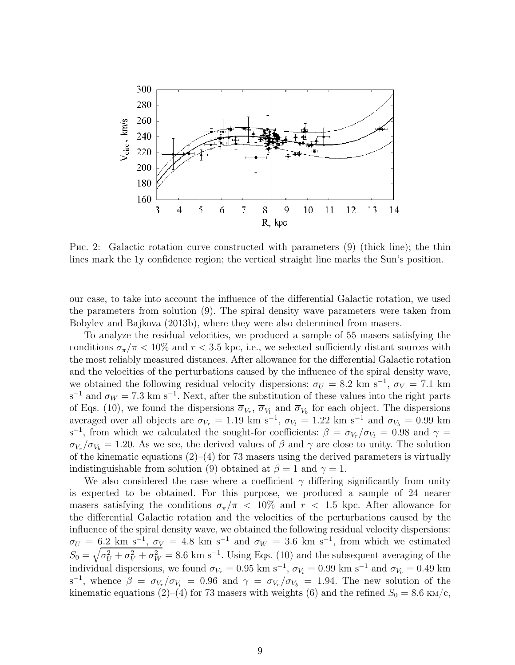

Рис. 2: Galactic rotation curve constructed with parameters (9) (thick line); the thin lines mark the 1у confidence region; the vertical straight line marks the Sun's position.

our case, to take into account the influence of the differential Galactic rotation, we used the parameters from solution (9). The spiral density wave parameters were taken from Bobylev and Bajkova (2013b), where they were also determined from masers.

To analyze the residual velocities, we produced a sample of 55 masers satisfying the conditions  $\sigma_{\pi}/\pi$  < 10% and  $r$  < 3.5 kpc, i.e., we selected sufficiently distant sources with the most reliably measured distances. After allowance for the differential Galactic rotation and the velocities of the perturbations caused by the influence of the spiral density wave, we obtained the following residual velocity dispersions:  $\sigma_U = 8.2 \text{ km s}^{-1}$ ,  $\sigma_V = 7.1 \text{ km}$  $s^{-1}$  and  $\sigma_W = 7.3$  km s<sup>-1</sup>. Next, after the substitution of these values into the right parts of Eqs. (10), we found the dispersions  $\overline{\sigma}_{V_r}$ ,  $\overline{\sigma}_{V_l}$  and  $\overline{\sigma}_{V_b}$  for each object. The dispersions averaged over all objects are  $\sigma_{V_r} = 1.19 \text{ km s}^{-1}$ ,  $\sigma_{V_l} = 1.22 \text{ km s}^{-1}$  and  $\sigma_{V_b} = 0.99 \text{ km}$ s<sup>-1</sup>, from which we calculated the sought-for coefficients:  $\beta = \sigma_{V_r}/\sigma_{V_l} = 0.98$  and  $\gamma =$  $\sigma_{V_r}/\sigma_{V_b} = 1.20$ . As we see, the derived values of  $\beta$  and  $\gamma$  are close to unity. The solution of the kinematic equations  $(2)$ – $(4)$  for 73 masers using the derived parameters is virtually indistinguishable from solution (9) obtained at  $\beta = 1$  and  $\gamma = 1$ .

We also considered the case where a coefficient  $\gamma$  differing significantly from unity is expected to be obtained. For this purpose, we produced a sample of 24 nearer masers satisfying the conditions  $\sigma_{\pi}/\pi$  < 10% and  $r$  < 1.5 kpc. After allowance for the differential Galactic rotation and the velocities of the perturbations caused by the influence of the spiral density wave, we obtained the following residual velocity dispersions:  $\sigma_U = 6.2$  km s<sup>-1</sup>,  $\sigma_V = 4.8$  km s<sup>-1</sup> and  $\sigma_W = 3.6$  km s<sup>-1</sup>, from which we estimated  $S_0 = \sqrt{\sigma_U^2 + \sigma_V^2 + \sigma_W^2} = 8.6$  km s<sup>-1</sup>. Using Eqs. (10) and the subsequent averaging of the individual dispersions, we found  $\sigma_{V_r} = 0.95$  km s<sup>-1</sup>,  $\sigma_{V_l} = 0.99$  km s<sup>-1</sup> and  $\sigma_{V_b} = 0.49$  km s<sup>-1</sup>, whence  $\beta = \sigma_{V_r}/\sigma_{V_l} = 0.96$  and  $\gamma = \sigma_{V_r}/\sigma_{V_b} = 1.94$ . The new solution of the kinematic equations (2)–(4) for 73 masers with weights (6) and the refined  $S_0 = 8.6 \text{ km/c}$ ,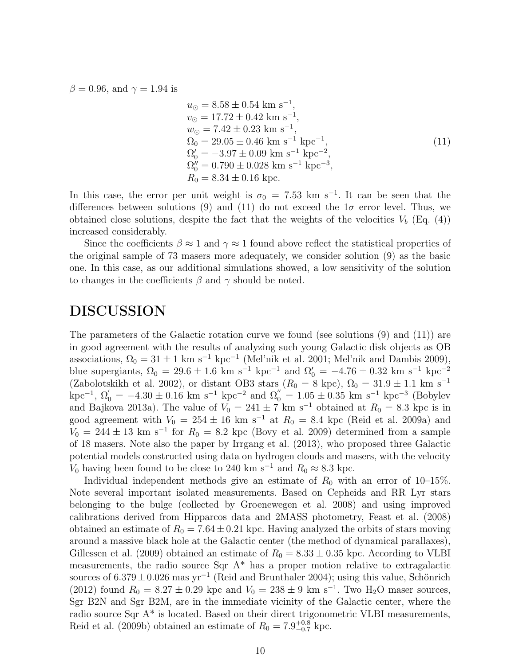$\beta = 0.96$ , and  $\gamma = 1.94$  is

$$
u_{\odot} = 8.58 \pm 0.54 \text{ km s}^{-1},
$$
  
\n
$$
v_{\odot} = 17.72 \pm 0.42 \text{ km s}^{-1},
$$
  
\n
$$
w_{\odot} = 7.42 \pm 0.23 \text{ km s}^{-1},
$$
  
\n
$$
\Omega_0 = 29.05 \pm 0.46 \text{ km s}^{-1} \text{ kpc}^{-1},
$$
  
\n
$$
\Omega'_0 = -3.97 \pm 0.09 \text{ km s}^{-1} \text{ kpc}^{-2},
$$
  
\n
$$
\Omega''_0 = 0.790 \pm 0.028 \text{ km s}^{-1} \text{ kpc}^{-3},
$$
  
\n
$$
R_0 = 8.34 \pm 0.16 \text{ kpc}.
$$
  
\n(11)

In this case, the error per unit weight is  $\sigma_0 = 7.53$  km s<sup>-1</sup>. It can be seen that the differences between solutions (9) and (11) do not exceed the  $1\sigma$  error level. Thus, we obtained close solutions, despite the fact that the weights of the velocities  $V_b$  (Eq. (4)) increased considerably.

Since the coefficients  $\beta \approx 1$  and  $\gamma \approx 1$  found above reflect the statistical properties of the original sample of 73 masers more adequately, we consider solution (9) as the basic one. In this case, as our additional simulations showed, a low sensitivity of the solution to changes in the coefficients  $\beta$  and  $\gamma$  should be noted.

# DISCUSSION

The parameters of the Galactic rotation curve we found (see solutions (9) and (11)) are in good agreement with the results of analyzing such young Galactic disk objects as OB associations,  $\Omega_0 = 31 \pm 1 \text{ km s}^{-1} \text{ kpc}^{-1}$  (Mel'nik et al. 2001; Mel'nik and Dambis 2009), blue supergiants,  $\Omega_0 = 29.6 \pm 1.6$  km s<sup>-1</sup> kpc<sup>-1</sup> and  $\Omega'_0 = -4.76 \pm 0.32$  km s<sup>-1</sup> kpc<sup>-2</sup> (Zabolotskikh et al. 2002), or distant OB3 stars ( $R_0 = 8$  kpc),  $\Omega_0 = 31.9 \pm 1.1$  km s<sup>-1</sup>  $\text{kpc}^{-1}$ ,  $\Omega_0' = -4.30 \pm 0.16 \text{ km s}^{-1} \text{ kpc}^{-2}$  and  $\Omega_0'' = 1.05 \pm 0.35 \text{ km s}^{-1} \text{ kpc}^{-3}$  (Bobylev and Bajkova 2013a). The value of  $V_0 = 241 \pm 7$  km s<sup>-1</sup> obtained at  $R_0 = 8.3$  kpc is in good agreement with  $V_0 = 254 \pm 16$  km s<sup>-1</sup> at  $R_0 = 8.4$  kpc (Reid et al. 2009a) and  $V_0 = 244 \pm 13$  km s<sup>-1</sup> for  $R_0 = 8.2$  kpc (Bovy et al. 2009) determined from a sample of 18 masers. Note also the paper by Irrgang et al. (2013), who proposed three Galactic potential models constructed using data on hydrogen clouds and masers, with the velocity  $V_0$  having been found to be close to 240 km s<sup>−1</sup> and  $R_0 \approx 8.3$  kpc.

Individual independent methods give an estimate of  $R_0$  with an error of 10–15%. Note several important isolated measurements. Based on Cepheids and RR Lyr stars belonging to the bulge (collected by Groenewegen et al. 2008) and using improved calibrations derived from Hipparcos data and 2MASS photometry, Feast et al. (2008) obtained an estimate of  $R_0 = 7.64 \pm 0.21$  kpc. Having analyzed the orbits of stars moving around a massive black hole at the Galactic center (the method of dynamical parallaxes), Gillessen et al. (2009) obtained an estimate of  $R_0 = 8.33 \pm 0.35$  kpc. According to VLBI measurements, the radio source  $Sqr \, A^*$  has a proper motion relative to extragalactic sources of  $6.379 \pm 0.026$  mas yr<sup>-1</sup> (Reid and Brunthaler 2004); using this value, Schönrich (2012) found  $R_0 = 8.27 \pm 0.29$  kpc and  $V_0 = 238 \pm 9$  km s<sup>-1</sup>. Two H<sub>2</sub>O maser sources, Sgr B2N and Sgr B2M, are in the immediate vicinity of the Galactic center, where the radio source Sqr A\* is located. Based on their direct trigonometric VLBI measurements, Reid et al. (2009b) obtained an estimate of  $R_0 = 7.9^{+0.8}_{-0.7}$  kpc.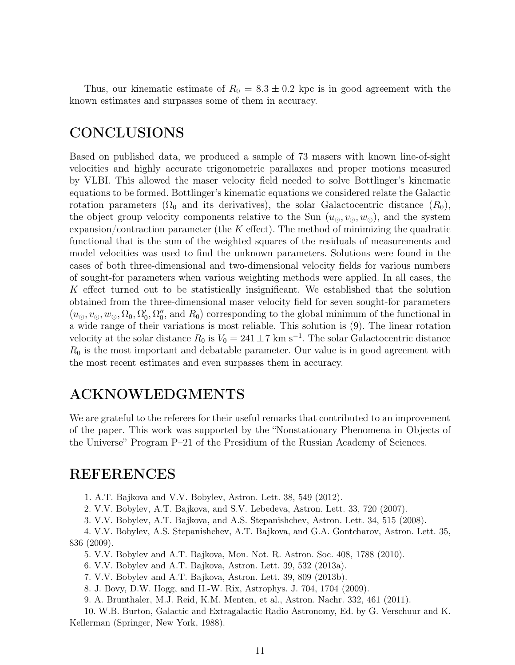Thus, our kinematic estimate of  $R_0 = 8.3 \pm 0.2$  kpc is in good agreement with the known estimates and surpasses some of them in accuracy.

# CONCLUSIONS

Based on published data, we produced a sample of 73 masers with known line-of-sight velocities and highly accurate trigonometric parallaxes and proper motions measured by VLBI. This allowed the maser velocity field needed to solve Bottlinger's kinematic equations to be formed. Bottlinger's kinematic equations we considered relate the Galactic rotation parameters ( $\Omega_0$  and its derivatives), the solar Galactocentric distance  $(R_0)$ , the object group velocity components relative to the Sun  $(u_{\odot}, v_{\odot}, w_{\odot})$ , and the system expansion/contraction parameter (the  $K$  effect). The method of minimizing the quadratic functional that is the sum of the weighted squares of the residuals of measurements and model velocities was used to find the unknown parameters. Solutions were found in the cases of both three-dimensional and two-dimensional velocity fields for various numbers of sought-for parameters when various weighting methods were applied. In all cases, the K effect turned out to be statistically insignificant. We established that the solution obtained from the three-dimensional maser velocity field for seven sought-for parameters  $(u_{\odot}, v_{\odot}, w_{\odot}, \Omega_0, \Omega_0')$  $'_{0}, \Omega''_{0}$  $\binom{n}{0}$ , and  $R_0$ ) corresponding to the global minimum of the functional in a wide range of their variations is most reliable. This solution is (9). The linear rotation velocity at the solar distance  $R_0$  is  $V_0 = 241 \pm 7$  km s<sup>-1</sup>. The solar Galactocentric distance  $R_0$  is the most important and debatable parameter. Our value is in good agreement with the most recent estimates and even surpasses them in accuracy.

### ACKNOWLEDGMENTS

We are grateful to the referees for their useful remarks that contributed to an improvement of the paper. This work was supported by the "Nonstationary Phenomena in Objects of the Universe" Program P–21 of the Presidium of the Russian Academy of Sciences.

### REFERENCES

1. A.T. Bajkova and V.V. Bobylev, Astron. Lett. 38, 549 (2012).

2. V.V. Bobylev, A.T. Bajkova, and S.V. Lebedeva, Astron. Lett. 33, 720 (2007).

3. V.V. Bobylev, A.T. Bajkova, and A.S. Stepanishchev, Astron. Lett. 34, 515 (2008).

4. V.V. Bobylev, A.S. Stepanishchev, A.T. Bajkova, and G.A. Gontcharov, Astron. Lett. 35, 836 (2009).

5. V.V. Bobylev and A.T. Bajkova, Mon. Not. R. Astron. Soc. 408, 1788 (2010).

6. V.V. Bobylev and A.T. Bajkova, Astron. Lett. 39, 532 (2013a).

7. V.V. Bobylev and A.T. Bajkova, Astron. Lett. 39, 809 (2013b).

8. J. Bovy, D.W. Hogg, and H.-W. Rix, Astrophys. J. 704, 1704 (2009).

9. A. Brunthaler, M.J. Reid, K.M. Menten, et al., Astron. Nachr. 332, 461 (2011).

10. W.B. Burton, Galactic and Extragalactic Radio Astronomy, Ed. by G. Verschuur and K. Kellerman (Springer, New York, 1988).